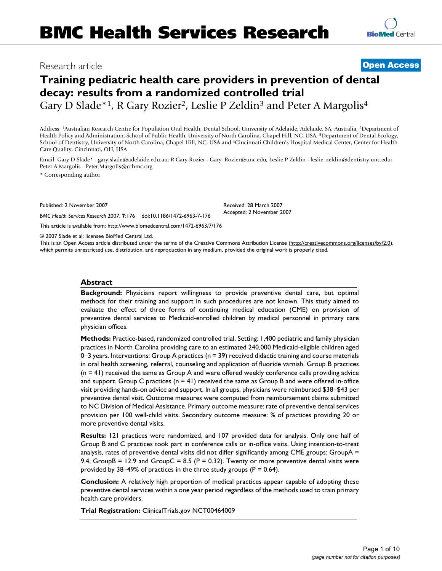# Research article **[Open Access](http://www.biomedcentral.com/info/about/charter/)**

**[BioMed](http://www.biomedcentral.com/)** Central

# **Training pediatric health care providers in prevention of dental decay: results from a randomized controlled trial** Gary D Slade\*<sup>1</sup>, R Gary Rozier<sup>2</sup>, Leslie P Zeldin<sup>3</sup> and Peter A Margolis<sup>4</sup>

Address: 1Australian Research Centre for Population Oral Health, Dental School, University of Adelaide, Adelaide, SA, Australia, 2Department of Health Policy and Administration, School of Public Health, University of North Carolina, Chapel Hill, NC, USA, 3Department of Dental Ecology, School of Dentistry, University of North Carolina, Chapel Hill, NC, USA and 4Cincinnati Children's Hospital Medical Center, Center for Health Care Quality, Cincinnati, OH, USA

Email: Gary D Slade\* - gary.slade@adelaide.edu.au; R Gary Rozier - Gary\_Rozier@unc.edu; Leslie P Zeldin - leslie\_zeldin@dentistry.unc.edu; Peter A Margolis - Peter.Margolis@cchmc.org

\* Corresponding author

Published: 2 November 2007

*BMC Health Services Research* 2007, **7**:176 doi:10.1186/1472-6963-7-176

[This article is available from: http://www.biomedcentral.com/1472-6963/7/176](http://www.biomedcentral.com/1472-6963/7/176)

© 2007 Slade et al; licensee BioMed Central Ltd.

This is an Open Access article distributed under the terms of the Creative Commons Attribution License [\(http://creativecommons.org/licenses/by/2.0\)](http://creativecommons.org/licenses/by/2.0), which permits unrestricted use, distribution, and reproduction in any medium, provided the original work is properly cited.

Received: 28 March 2007 Accepted: 2 November 2007

#### **Abstract**

**Background:** Physicians report willingness to provide preventive dental care, but optimal methods for their training and support in such procedures are not known. This study aimed to evaluate the effect of three forms of continuing medical education (CME) on provision of preventive dental services to Medicaid-enrolled children by medical personnel in primary care physician offices.

**Methods:** Practice-based, randomized controlled trial. Setting: 1,400 pediatric and family physician practices in North Carolina providing care to an estimated 240,000 Medicaid-eligible children aged 0–3 years. Interventions: Group A practices ( $n = 39$ ) received didactic training and course materials in oral health screening, referral, counseling and application of fluoride varnish. Group B practices (n = 41) received the same as Group A and were offered weekly conference calls providing advice and support. Group C practices ( $n = 41$ ) received the same as Group B and were offered in-office visit providing hands-on advice and support. In all groups, physicians were reimbursed \$38–\$43 per preventive dental visit. Outcome measures were computed from reimbursement claims submitted to NC Division of Medical Assistance. Primary outcome measure: rate of preventive dental services provision per 100 well-child visits. Secondary outcome measure: % of practices providing 20 or more preventive dental visits.

**Results:** 121 practices were randomized, and 107 provided data for analysis. Only one half of Group B and C practices took part in conference calls or in-office visits. Using intention-to-treat analysis, rates of preventive dental visits did not differ significantly among CME groups: GroupA = 9.4, GroupB = 12.9 and GroupC = 8.5 ( $P = 0.32$ ). Twenty or more preventive dental visits were provided by 38–49% of practices in the three study groups ( $P = 0.64$ ).

**Conclusion:** A relatively high proportion of medical practices appear capable of adopting these preventive dental services within a one year period regardless of the methods used to train primary health care providers.

**Trial Registration:** ClinicalTrials.gov NCT00464009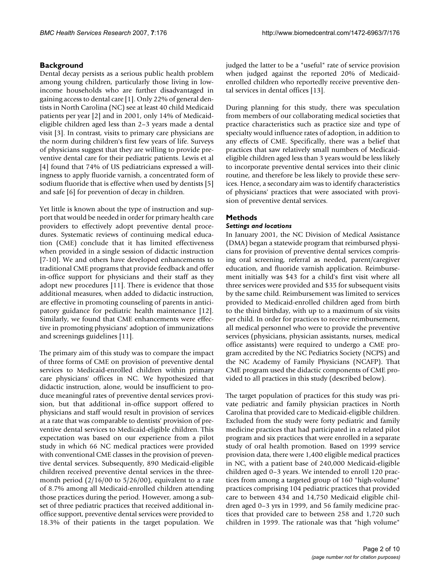## **Background**

Dental decay persists as a serious public health problem among young children, particularly those living in lowincome households who are further disadvantaged in gaining access to dental care [1]. Only 22% of general dentists in North Carolina (NC) see at least 40 child Medicaid patients per year [2] and in 2001, only 14% of Medicaideligible children aged less than 2–3 years made a dental visit [3]. In contrast, visits to primary care physicians are the norm during children's first few years of life. Surveys of physicians suggest that they are willing to provide preventive dental care for their pediatric patients. Lewis et al [4] found that 74% of US pediatricians expressed a willingness to apply fluoride varnish, a concentrated form of sodium fluoride that is effective when used by dentists [5] and safe [6] for prevention of decay in children.

Yet little is known about the type of instruction and support that would be needed in order for primary health care providers to effectively adopt preventive dental procedures. Systematic reviews of continuing medical education (CME) conclude that it has limited effectiveness when provided in a single session of didactic instruction [7-10]. We and others have developed enhancements to traditional CME programs that provide feedback and offer in-office support for physicians and their staff as they adopt new procedures [11]. There is evidence that those additional measures, when added to didactic instruction, are effective in promoting counseling of parents in anticipatory guidance for pediatric health maintenance [12]. Similarly, we found that CME enhancements were effective in promoting physicians' adoption of immunizations and screenings guidelines [11].

The primary aim of this study was to compare the impact of three forms of CME on provision of preventive dental services to Medicaid-enrolled children within primary care physicians' offices in NC. We hypothesized that didactic instruction, alone, would be insufficient to produce meaningful rates of preventive dental services provision, but that additional in-office support offered to physicians and staff would result in provision of services at a rate that was comparable to dentists' provision of preventive dental services to Medicaid-eligible children. This expectation was based on our experience from a pilot study in which 66 NC medical practices were provided with conventional CME classes in the provision of preventive dental services. Subsequently, 890 Medicaid-eligible children received preventive dental services in the threemonth period (2/16/00 to 5/26/00), equivalent to a rate of 8.7% among all Medicaid-enrolled children attending those practices during the period. However, among a subset of three pediatric practices that received additional inoffice support, preventive dental services were provided to 18.3% of their patients in the target population. We judged the latter to be a "useful" rate of service provision when judged against the reported 20% of Medicaidenrolled children who reportedly receive preventive dental services in dental offices [13].

During planning for this study, there was speculation from members of our collaborating medical societies that practice characteristics such as practice size and type of specialty would influence rates of adoption, in addition to any effects of CME. Specifically, there was a belief that practices that saw relatively small numbers of Medicaideligible children aged less than 3 years would be less likely to incorporate preventive dental services into their clinic routine, and therefore be less likely to provide these services. Hence, a secondary aim was to identify characteristics of physicians' practices that were associated with provision of preventive dental services.

# **Methods**

### *Settings and locations*

In January 2001, the NC Division of Medical Assistance (DMA) began a statewide program that reimbursed physicians for provision of preventive dental services comprising oral screening, referral as needed, parent/caregiver education, and fluoride varnish application. Reimbursement initially was \$43 for a child's first visit where all three services were provided and \$35 for subsequent visits by the same child. Reimbursement was limited to services provided to Medicaid-enrolled children aged from birth to the third birthday, with up to a maximum of six visits per child. In order for practices to receive reimbursement, all medical personnel who were to provide the preventive services (physicians, physician assistants, nurses, medical office assistants) were required to undergo a CME program accredited by the NC Pediatrics Society (NCPS) and the NC Academy of Family Physicians (NCAFP). That CME program used the didactic components of CME provided to all practices in this study (described below).

The target population of practices for this study was private pediatric and family physician practices in North Carolina that provided care to Medicaid-eligible children. Excluded from the study were forty pediatric and family medicine practices that had participated in a related pilot program and six practices that were enrolled in a separate study of oral health promotion. Based on 1999 service provision data, there were 1,400 eligible medical practices in NC, with a patient base of 240,000 Medicaid-eligible children aged 0–3 years. We intended to enroll 120 practices from among a targeted group of 160 "high-volume" practices comprising 104 pediatric practices that provided care to between 434 and 14,750 Medicaid eligible children aged 0–3 yrs in 1999, and 56 family medicine practices that provided care to between 258 and 1,720 such children in 1999. The rationale was that "high volume"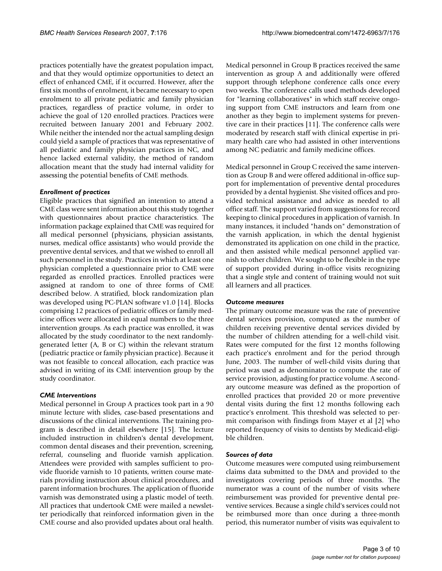practices potentially have the greatest population impact, and that they would optimize opportunities to detect an effect of enhanced CME, if it occurred. However, after the first six months of enrolment, it became necessary to open enrolment to all private pediatric and family physician practices, regardless of practice volume, in order to achieve the goal of 120 enrolled practices. Practices were recruited between January 2001 and February 2002. While neither the intended nor the actual sampling design could yield a sample of practices that was representative of all pediatric and family physician practices in NC, and hence lacked external validity, the method of random allocation meant that the study had internal validity for assessing the potential benefits of CME methods.

#### *Enrollment of practices*

Eligible practices that signified an intention to attend a CME class were sent information about this study together with questionnaires about practice characteristics. The information package explained that CME was required for all medical personnel (physicians, physician assistants, nurses, medical office assistants) who would provide the preventive dental services, and that we wished to enroll all such personnel in the study. Practices in which at least one physician completed a questionnaire prior to CME were regarded as enrolled practices. Enrolled practices were assigned at random to one of three forms of CME described below. A stratified, block randomization plan was developed using PC-PLAN software v1.0 [14]. Blocks comprising 12 practices of pediatric offices or family medicine offices were allocated in equal numbers to the three intervention groups. As each practice was enrolled, it was allocated by the study coordinator to the next randomlygenerated letter (A, B or C) within the relevant stratum (pediatric practice or family physician practice). Because it was not feasible to conceal allocation, each practice was advised in writing of its CME intervention group by the study coordinator.

#### *CME Interventions*

Medical personnel in Group A practices took part in a 90 minute lecture with slides, case-based presentations and discussions of the clinical interventions. The training program is described in detail elsewhere [15]. The lecture included instruction in children's dental development, common dental diseases and their prevention, screening, referral, counseling and fluoride varnish application. Attendees were provided with samples sufficient to provide fluoride varnish to 10 patients, written course materials providing instruction about clinical procedures, and parent information brochures. The application of fluoride varnish was demonstrated using a plastic model of teeth. All practices that undertook CME were mailed a newsletter periodically that reinforced information given in the CME course and also provided updates about oral health.

Medical personnel in Group B practices received the same intervention as group A and additionally were offered support through telephone conference calls once every two weeks. The conference calls used methods developed for "learning collaboratives" in which staff receive ongoing support from CME instructors and learn from one another as they begin to implement systems for preventive care in their practices [11]. The conference calls were moderated by research staff with clinical expertise in primary health care who had assisted in other interventions among NC pediatric and family medicine offices.

Medical personnel in Group C received the same intervention as Group B and were offered additional in-office support for implementation of preventive dental procedures provided by a dental hygienist. She visited offices and provided technical assistance and advice as needed to all office staff. The support varied from suggestions for record keeping to clinical procedures in application of varnish. In many instances, it included "hands on" demonstration of the varnish application, in which the dental hygienist demonstrated its application on one child in the practice, and then assisted while medical personnel applied varnish to other children. We sought to be flexible in the type of support provided during in-office visits recognizing that a single style and content of training would not suit all learners and all practices.

#### *Outcome measures*

The primary outcome measure was the rate of preventive dental services provision, computed as the number of children receiving preventive dental services divided by the number of children attending for a well-child visit. Rates were computed for the first 12 months following each practice's enrolment and for the period through June, 2003. The number of well-child visits during that period was used as denominator to compute the rate of service provision, adjusting for practice volume. A secondary outcome measure was defined as the proportion of enrolled practices that provided 20 or more preventive dental visits during the first 12 months following each practice's enrolment. This threshold was selected to permit comparison with findings from Mayer et al [2] who reported frequency of visits to dentists by Medicaid-eligible children.

#### *Sources of data*

Outcome measures were computed using reimbursement claims data submitted to the DMA and provided to the investigators covering periods of three months. The numerator was a count of the number of visits where reimbursement was provided for preventive dental preventive services. Because a single child's services could not be reimbursed more than once during a three-month period, this numerator number of visits was equivalent to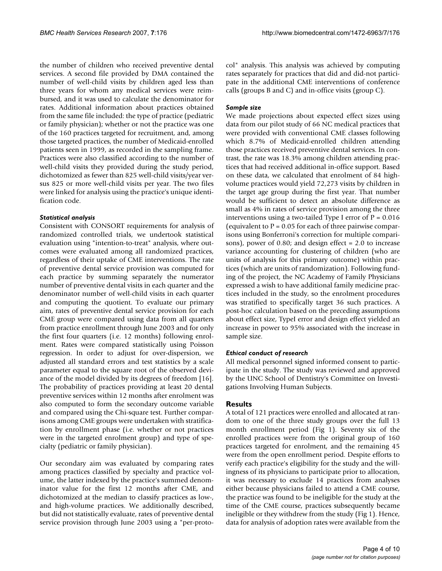the number of children who received preventive dental services. A second file provided by DMA contained the number of well-child visits by children aged less than three years for whom any medical services were reimbursed, and it was used to calculate the denominator for rates. Additional information about practices obtained from the same file included: the type of practice (pediatric or family physician); whether or not the practice was one of the 160 practices targeted for recruitment, and, among those targeted practices, the number of Medicaid-enrolled patients seen in 1999, as recorded in the sampling frame. Practices were also classified according to the number of well-child visits they provided during the study period, dichotomized as fewer than 825 well-child visits/year versus 825 or more well-child visits per year. The two files were linked for analysis using the practice's unique identification code.

#### *Statistical analysis*

Consistent with CONSORT requirements for analysis of randomized controlled trials, we undertook statistical evaluation using "intention-to-treat" analysis, where outcomes were evaluated among all randomized practices, regardless of their uptake of CME interventions. The rate of preventive dental service provision was computed for each practice by summing separately the numerator number of preventive dental visits in each quarter and the denominator number of well-child visits in each quarter and computing the quotient. To evaluate our primary aim, rates of preventive dental service provision for each CME group were compared using data from all quarters from practice enrollment through June 2003 and for only the first four quarters (i.e. 12 months) following enrolment. Rates were compared statistically using Poisson regression. In order to adjust for over-dispersion, we adjusted all standard errors and test statistics by a scale parameter equal to the square root of the observed deviance of the model divided by its degrees of freedom [16]. The probability of practices providing at least 20 dental preventive services within 12 months after enrolment was also computed to form the secondary outcome variable and compared using the Chi-square test. Further comparisons among CME groups were undertaken with stratification by enrollment phase (i.e. whether or not practices were in the targeted enrolment group) and type of specialty (pediatric or family physician).

Our secondary aim was evaluated by comparing rates among practices classified by specialty and practice volume, the latter indexed by the practice's summed denominator value for the first 12 months after CME, and dichotomized at the median to classify practices as low-, and high-volume practices. We additionally described, but did not statistically evaluate, rates of preventive dental service provision through June 2003 using a "per-protocol" analysis. This analysis was achieved by computing rates separately for practices that did and did-not participate in the additional CME interventions of conference calls (groups B and C) and in-office visits (group C).

#### *Sample size*

We made projections about expected effect sizes using data from our pilot study of 66 NC medical practices that were provided with conventional CME classes following which 8.7% of Medicaid-enrolled children attending those practices received preventive dental services. In contrast, the rate was 18.3% among children attending practices that had received additional in-office support. Based on these data, we calculated that enrolment of 84 highvolume practices would yield 72,273 visits by children in the target age group during the first year. That number would be sufficient to detect an absolute difference as small as 4% in rates of service provision among the three interventions using a two-tailed Type I error of  $P = 0.016$ (equivalent to  $P = 0.05$  for each of three pairwise comparisons using Bonferroni's correction for multiple comparisons), power of 0.80; and design effect = 2.0 to increase variance accounting for clustering of children (who are units of analysis for this primary outcome) within practices (which are units of randomization). Following funding of the project, the NC Academy of Family Physicians expressed a wish to have additional family medicine practices included in the study, so the enrolment procedures was stratified to specifically target 36 such practices. A post-hoc calculation based on the preceding assumptions about effect size, TypeI error and design effect yielded an increase in power to 95% associated with the increase in sample size.

#### *Ethical conduct of research*

All medical personnel signed informed consent to participate in the study. The study was reviewed and approved by the UNC School of Dentistry's Committee on Investigations Involving Human Subjects.

#### **Results**

A total of 121 practices were enrolled and allocated at random to one of the three study groups over the full 13 month enrollment period (Fig 1). Seventy six of the enrolled practices were from the original group of 160 practices targeted for enrolment, and the remaining 45 were from the open enrollment period. Despite efforts to verify each practice's eligibility for the study and the willingness of its physicians to participate prior to allocation, it was necessary to exclude 14 practices from analyses either because physicians failed to attend a CME course, the practice was found to be ineligible for the study at the time of the CME course, practices subsequently became ineligible or they withdrew from the study (Fig 1). Hence, data for analysis of adoption rates were available from the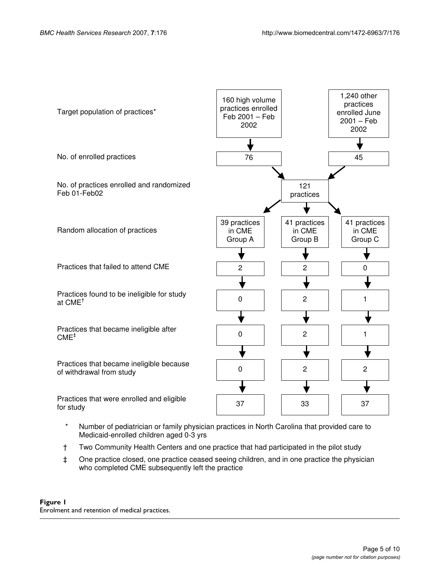

- Medicaid-enrolled children aged 0-3 yrs
- † Two Community Health Centers and one practice that had participated in the pilot study
- ‡ One practice closed, one practice ceased seeing children, and in one practice the physician who completed CME subsequently left the practice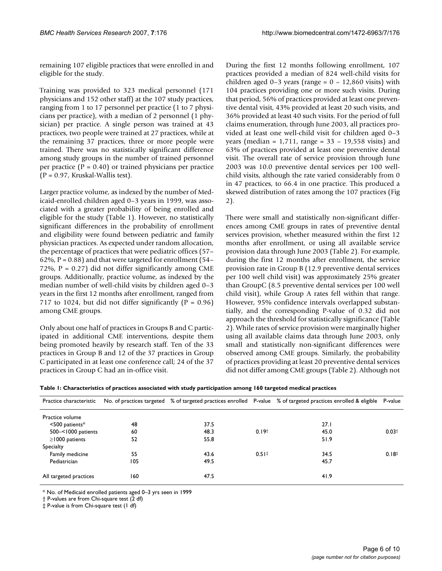remaining 107 eligible practices that were enrolled in and eligible for the study.

Training was provided to 323 medical personnel (171 physicians and 152 other staff) at the 107 study practices, ranging from 1 to 17 personnel per practice (1 to 7 physicians per practice), with a median of 2 personnel (1 physician) per practice. A single person was trained at 43 practices, two people were trained at 27 practices, while at the remaining 37 practices, three or more people were trained. There was no statistically significant difference among study groups in the number of trained personnel per practice ( $P = 0.40$ ) or trained physicians per practice  $(P = 0.97$ , Kruskal-Wallis test).

Larger practice volume, as indexed by the number of Medicaid-enrolled children aged 0–3 years in 1999, was associated with a greater probability of being enrolled and eligible for the study (Table 1). However, no statistically significant differences in the probability of enrollment and eligibility were found between pediatric and family physician practices. As expected under random allocation, the percentage of practices that were pediatric offices (57– 62%,  $P = 0.88$ ) and that were targeted for enrollment (54– 72%,  $P = 0.27$ ) did not differ significantly among CME groups. Additionally, practice volume, as indexed by the median number of well-child visits by children aged 0–3 years in the first 12 months after enrollment, ranged from 717 to 1024, but did not differ significantly  $(P = 0.96)$ among CME groups.

Only about one half of practices in Groups B and C participated in additional CME interventions, despite them being promoted heavily by research staff. Ten of the 33 practices in Group B and 12 of the 37 practices in Group C participated in at least one conference call; 24 of the 37 practices in Group C had an in-office visit.

During the first 12 months following enrollment, 107 practices provided a median of 824 well-child visits for children aged 0–3 years (range =  $0 - 12,860$  visits) with 104 practices providing one or more such visits. During that period, 56% of practices provided at least one preventive dental visit, 43% provided at least 20 such visits, and 36% provided at least 40 such visits. For the period of full claims enumeration, through June 2003, all practices provided at least one well-child visit for children aged 0–3 years (median =  $1,711$ , range =  $33 - 19,558$  visits) and 63% of practices provided at least one preventive dental visit. The overall rate of service provision through June 2003 was 10.0 preventive dental services per 100 wellchild visits, although the rate varied considerably from 0 in 47 practices, to 66.4 in one practice. This produced a skewed distribution of rates among the 107 practices (Fig 2).

There were small and statistically non-significant differences among CME groups in rates of preventive dental services provision, whether measured within the first 12 months after enrollment, or using all available service provision data through June 2003 (Table 2). For example, during the first 12 months after enrollment, the service provision rate in Group B (12.9 preventive dental services per 100 well child visit) was approximately 25% greater than GroupC (8.5 preventive dental services per 100 well child visit), while Group A rates fell within that range. However, 95% confidence intervals overlapped substantially, and the corresponding P-value of 0.32 did not approach the threshold for statistically significance (Table 2). While rates of service provision were marginally higher using all available claims data through June 2003, only small and statistically non-significant differences were observed among CME groups. Similarly, the probability of practices providing at least 20 preventive dental services did not differ among CME groups (Table 2). Although not

**Table 1: Characteristics of practices associated with study participation among 160 targeted medical practices**

| Practice characteristic |     |      |                     | No. of practices targeted % of targeted practices enrolled P-value % of targeted practices enrolled & eligible | P-value           |
|-------------------------|-----|------|---------------------|----------------------------------------------------------------------------------------------------------------|-------------------|
| Practice volume         |     |      |                     |                                                                                                                |                   |
| $\leq$ 500 patients*    | 48  | 37.5 |                     | 27.1                                                                                                           |                   |
| 500-<1000 patients      | 60  | 48.3 | 0.19 <sup>†</sup>   | 45.0                                                                                                           | 0.03 <sup>†</sup> |
| $\geq$ 1000 patients    | 52  | 55.8 |                     | 51.9                                                                                                           |                   |
| Specialty               |     |      |                     |                                                                                                                |                   |
| Family medicine         | 55  | 43.6 | $0.51$ <sup>‡</sup> | 34.5                                                                                                           | 0.18 <sup>‡</sup> |
| Pediatrician            | 105 | 49.5 |                     | 45.7                                                                                                           |                   |
| All targeted practices  | 160 | 47.5 |                     | 41.9                                                                                                           |                   |

\* No. of Medicaid enrolled patients aged 0–3 yrs seen in 1999

† P-values are from Chi-square test (2 df)

‡ P-value is from Chi-square test (1 df)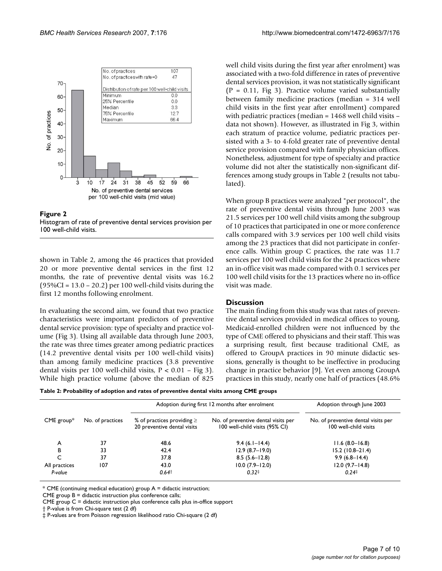

#### Figure 2

Histogram of rate of preventive dental services provision per 100 well-child visits.

shown in Table 2, among the 46 practices that provided 20 or more preventive dental services in the first 12 months, the rate of preventive dental visits was 16.2 (95%CI = 13.0 – 20.2) per 100 well-child visits during the first 12 months following enrolment.

In evaluating the second aim, we found that two practice characteristics were important predictors of preventive dental service provision: type of specialty and practice volume (Fig 3). Using all available data through June 2003, the rate was three times greater among pediatric practices (14.2 preventive dental visits per 100 well-child visits) than among family medicine practices (3.8 preventive dental visits per 100 well-child visits,  $P < 0.01$  – Fig 3). While high practice volume (above the median of 825

well child visits during the first year after enrolment) was associated with a two-fold difference in rates of preventive dental services provision, it was not statistically significant  $(P = 0.11, Fig 3)$ . Practice volume varied substantially between family medicine practices (median = 314 well child visits in the first year after enrollment) compared with pediatric practices (median = 1468 well child visits – data not shown). However, as illustrated in Fig 3, within each stratum of practice volume, pediatric practices persisted with a 3- to 4-fold greater rate of preventive dental service provision compared with family physician offices. Nonetheless, adjustment for type of specialty and practice volume did not alter the statistically non-significant differences among study groups in Table 2 (results not tabulated).

When group B practices were analyzed "per protocol", the rate of preventive dental visits through June 2003 was 21.5 services per 100 well child visits among the subgroup of 10 practices that participated in one or more conference calls compared with 3.9 services per 100 well child visits among the 23 practices that did not participate in conference calls. Within group C practices, the rate was 11.7 services per 100 well child visits for the 24 practices where an in-office visit was made compared with 0.1 services per 100 well child visits for the 13 practices where no in-office visit was made.

#### **Discussion**

The main finding from this study was that rates of preventive dental services provided in medical offices to young, Medicaid-enrolled children were not influenced by the type of CME offered to physicians and their staff. This was a surprising result, first because traditional CME, as offered to GroupA practices in 90 minute didactic sessions, generally is thought to be ineffective in producing change in practice behavior [9]. Yet even among GroupA practices in this study, nearly one half of practices (48.6%

|               |                  | Adoption during first 12 months after enrolment                | Adoption through June 2003                                            |                                                              |
|---------------|------------------|----------------------------------------------------------------|-----------------------------------------------------------------------|--------------------------------------------------------------|
| $CME$ group*  | No. of practices | % of practices providing $\geq$<br>20 preventive dental visits | No. of preventive dental visits per<br>100 well-child visits (95% CI) | No. of preventive dental visits per<br>100 well-child visits |
| A             | 37               | 48.6                                                           | $9.4(6.1 - 14.4)$                                                     | $11.6(8.0 - 16.8)$                                           |
| В             | 33               | 42.4                                                           | $12.9(8.7-19.0)$                                                      | $15.2(10.8-21.4)$                                            |
| C             | 37               | 37.8                                                           | $8.5(5.6 - 12.8)$                                                     | $9.9(6.8-14.4)$                                              |
| All practices | 107              | 43.0                                                           | $10.0(7.9-12.0)$                                                      | $12.0(9.7 - 14.8)$                                           |
| P-value       |                  | $0.64$ <sup>t</sup>                                            | 0.32 <sup>‡</sup>                                                     | $0.24$ <sup>‡</sup>                                          |

 $*$  CME (continuing medical education) group  $A =$  didactic instruction;

CME group B = didactic instruction plus conference calls;

CME group C = didactic instruction plus conference calls plus in-office support

† P-value is from Chi-square test (2 df)

‡ P-values are from Poisson regression likelihood ratio Chi-square (2 df)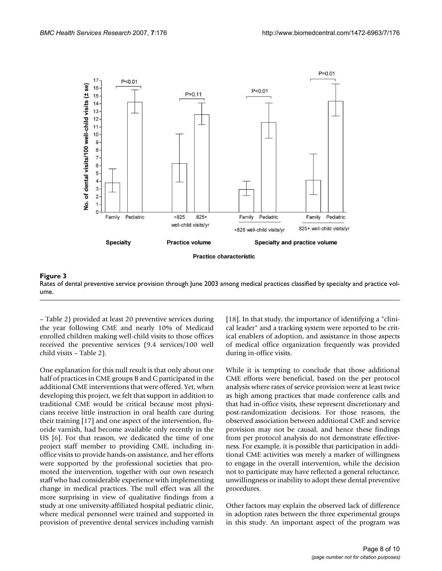

Rates of dental preventive serv ume **Figure 3** ice provision through June 2003 among medical practices classified by specialty and practice vol-Rates of dental preventive service provision through June 2003 among medical practices classified by specialty and practice volume.

– Table 2) provided at least 20 preventive services during the year following CME and nearly 10% of Medicaid enrolled children making well-child visits to those offices received the preventive services (9.4 services/100 well child visits – Table 2).

One explanation for this null result is that only about one half of practices in CME groups B and C participated in the additional CME interventions that were offered. Yet, when developing this project, we felt that support in addition to traditional CME would be critical because most physicians receive little instruction in oral health care during their training [17] and one aspect of the intervention, fluoride varnish, had become available only recently in the US [6]. For that reason, we dedicated the time of one project staff member to providing CME, including inoffice visits to provide hands-on assistance, and her efforts were supported by the professional societies that promoted the intervention, together with our own research staff who had considerable experience with implementing change in medical practices. The null effect was all the more surprising in view of qualitative findings from a study at one university-affiliated hospital pediatric clinic, where medical personnel were trained and supported in provision of preventive dental services including varnish

[18]. In that study, the importance of identifying a "clinical leader" and a tracking system were reported to be critical enablers of adoption, and assistance in those aspects of medical office organization frequently was provided during in-office visits.

While it is tempting to conclude that those additional CME efforts were beneficial, based on the per protocol analysis where rates of service provision were at least twice as high among practices that made conference calls and that had in-office visits, these represent discretionary and post-randomization decisions. For those reasons, the observed association between additional CME and service provision may not be causal, and hence these findings from per protocol analysis do not demonstrate effectiveness. For example, it is possible that participation in additional CME activities was merely a marker of willingness to engage in the overall intervention, while the decision not to participate may have reflected a general reluctance, unwillingness or inability to adopt these dental preventive procedures.

Other factors may explain the observed lack of difference in adoption rates between the three experimental groups in this study. An important aspect of the program was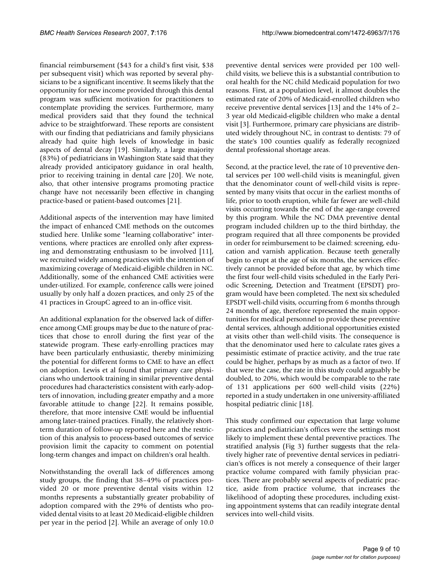financial reimbursement (\$43 for a child's first visit, \$38 per subsequent visit) which was reported by several physicians to be a significant incentive. It seems likely that the opportunity for new income provided through this dental program was sufficient motivation for practitioners to contemplate providing the services. Furthermore, many medical providers said that they found the technical advice to be straightforward. These reports are consistent with our finding that pediatricians and family physicians already had quite high levels of knowledge in basic aspects of dental decay [19]. Similarly, a large majority (83%) of pediatricians in Washington State said that they already provided anticipatory guidance in oral health, prior to receiving training in dental care [20]. We note, also, that other intensive programs promoting practice change have not necessarily been effective in changing practice-based or patient-based outcomes [21].

Additional aspects of the intervention may have limited the impact of enhanced CME methods on the outcomes studied here. Unlike some "learning collaborative" interventions, where practices are enrolled only after expressing and demonstrating enthusiasm to be involved [11], we recruited widely among practices with the intention of maximizing coverage of Medicaid-eligible children in NC. Additionally, some of the enhanced CME activities were under-utilized. For example, conference calls were joined usually by only half a dozen practices, and only 25 of the 41 practices in GroupC agreed to an in-office visit.

An additional explanation for the observed lack of difference among CME groups may be due to the nature of practices that chose to enroll during the first year of the statewide program. These early-enrolling practices may have been particularly enthusiastic, thereby minimizing the potential for different forms to CME to have an effect on adoption. Lewis et al found that primary care physicians who undertook training in similar preventive dental procedures had characteristics consistent with early-adopters of innovation, including greater empathy and a more favorable attitude to change [22]. It remains possible, therefore, that more intensive CME would be influential among later-trained practices. Finally, the relatively shortterm duration of follow-up reported here and the restriction of this analysis to process-based outcomes of service provision limit the capacity to comment on potential long-term changes and impact on children's oral health.

Notwithstanding the overall lack of differences among study groups, the finding that 38–49% of practices provided 20 or more preventive dental visits within 12 months represents a substantially greater probability of adoption compared with the 29% of dentists who provided dental visits to at least 20 Medicaid-eligible children per year in the period [2]. While an average of only 10.0

preventive dental services were provided per 100 wellchild visits, we believe this is a substantial contribution to oral health for the NC child Medicaid population for two reasons. First, at a population level, it almost doubles the estimated rate of 20% of Medicaid-enrolled children who receive preventive dental services [13] and the 14% of 2– 3 year old Medicaid-eligible children who make a dental visit [3]. Furthermore, primary care physicians are distributed widely throughout NC, in contrast to dentists: 79 of the state's 100 counties qualify as federally recognized dental professional shortage areas.

Second, at the practice level, the rate of 10 preventive dental services per 100 well-child visits is meaningful, given that the denominator count of well-child visits is represented by many visits that occur in the earliest months of life, prior to tooth eruption, while far fewer are well-child visits occurring towards the end of the age-range covered by this program. While the NC DMA preventive dental program included children up to the third birthday, the program required that all three components be provided in order for reimbursement to be claimed: screening, education and varnish application. Because teeth generally begin to erupt at the age of six months, the services effectively cannot be provided before that age, by which time the first four well-child visits scheduled in the Early Periodic Screening, Detection and Treatment (EPSDT) program would have been completed. The next six scheduled EPSDT well-child visits, occurring from 6 months through 24 months of age, therefore represented the main opportunities for medical personnel to provide these preventive dental services, although additional opportunities existed at visits other than well-child visits. The consequence is that the denominator used here to calculate rates gives a pessimistic estimate of practice activity, and the true rate could be higher, perhaps by as much as a factor of two. If that were the case, the rate in this study could arguably be doubled, to 20%, which would be comparable to the rate of 131 applications per 600 well-child visits (22%) reported in a study undertaken in one university-affiliated hospital pediatric clinic [18].

This study confirmed our expectation that large volume practices and pediatrician's offices were the settings most likely to implement these dental preventive practices. The stratified analysis (Fig 3) further suggests that the relatively higher rate of preventive dental services in pediatrician's offices is not merely a consequence of their larger practice volume compared with family physician practices. There are probably several aspects of pediatric practice, aside from practice volume, that increases the likelihood of adopting these procedures, including existing appointment systems that can readily integrate dental services into well-child visits.